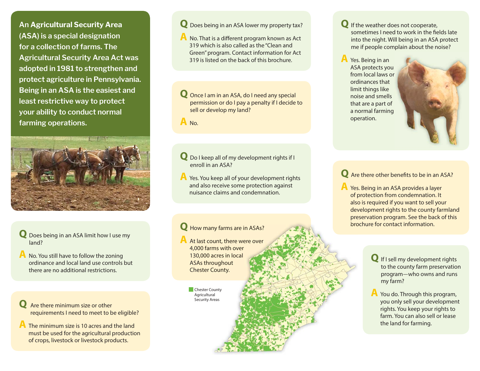**An Agricultural Security Area (ASA) is a special designation for a collection of farms. The Agricultural Security Area Act was adopted in 1981 to strengthen and protect agriculture in Pennsylvania. Being in an ASA is the easiest and least restrictive way to protect your ability to conduct normal farming operations.** 



#### **Q** Does being in an ASA limit how I use my land?

**A** No. You still have to follow the zoning ordinance and local land use controls but there are no additional restrictions.

**Q** Are there minimum size or other requirements I need to meet to be eligible?

**A** The minimum size is 10 acres and the land must be used for the agricultural production of crops, livestock or livestock products.

#### **Q** Does being in an ASA lower my property tax?

**A** No. That is a different program known as Act 319 which is also called as the "Clean and Green" program. Contact information for Act 319 is listed on the back of this brochure.

**Q** Once I am in an ASA, do I need any special permission or do I pay a penalty if I decide to sell or develop my land?

**A** No.

#### **Q** Do I keep all of my development rights if I enroll in an ASA?

**A** Yes. You keep all of your development rights and also receive some protection against nuisance claims and condemnation.

## **Q** How many farms are in ASAs? **We are in ASAs and All and Account and Account information.**

**A** At last count, there were over 4,000 farms with over 00 far130,000 acres in local ASAs throughout Chester County. ow many tarms<br>: last count, ther<br>000 farms with c<br>80,000 acres in lo<br>SAs throughout<br>nester County.<br>Chester County

**Agricultural** Security Areas **Q** If the weather does not cooperate, sometimes I need to work in the fields late into the night. Will being in an ASA protect me if people complain about the noise?

**A** Yes. Being in an ASA protects you from local laws or ordinances that limit things like noise and smells that are a part of a normal farming operation.



#### **Q** Are there other benefits to be in an ASA?

- **A** Yes. Being in an ASA provides a layer of protection from condemnation. It also is required if you want to sell your development rights to the county farmland preservation program. See the back of this brochure for contact information
	- **Q** If I sell my development rights to the county farm preservation program—who owns and runs my farm?
	- **A** You do. Through this program, you only sell your development rights. You keep your rights to farm. You can also sell or lease the land for farming.